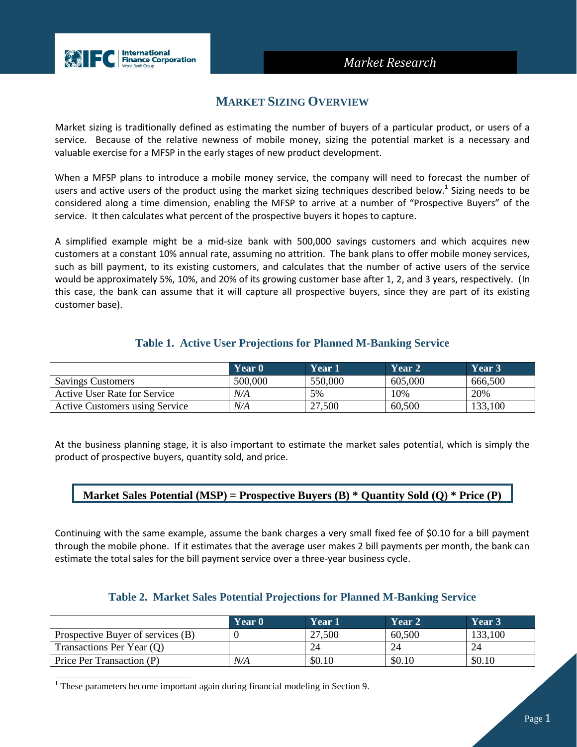# *Market Research*



# **MARKET SIZING OVERVIEW**

Market sizing is traditionally defined as estimating the number of buyers of a particular product, or users of a service. Because of the relative newness of mobile money, sizing the potential market is a necessary and valuable exercise for a MFSP in the early stages of new product development.

When a MFSP plans to introduce a mobile money service, the company will need to forecast the number of users and active users of the product using the market sizing techniques described below.<sup>1</sup> Sizing needs to be considered along a time dimension, enabling the MFSP to arrive at a number of "Prospective Buyers" of the service. It then calculates what percent of the prospective buyers it hopes to capture.

A simplified example might be a mid-size bank with 500,000 savings customers and which acquires new customers at a constant 10% annual rate, assuming no attrition. The bank plans to offer mobile money services, such as bill payment, to its existing customers, and calculates that the number of active users of the service would be approximately 5%, 10%, and 20% of its growing customer base after 1, 2, and 3 years, respectively. (In this case, the bank can assume that it will capture all prospective buyers, since they are part of its existing customer base).

# **Table 1. Active User Projections for Planned M-Banking Service**

|                                | Year 0  | Year 1  | Year 2  | Year 3  |
|--------------------------------|---------|---------|---------|---------|
| <b>Savings Customers</b>       | 500,000 | 550,000 | 605,000 | 666,500 |
| Active User Rate for Service   | N/A     | 5%      | 10%     | 20%     |
| Active Customers using Service | N/A     | 27,500  | 60,500  | 133,100 |

At the business planning stage, it is also important to estimate the market sales potential, which is simply the product of prospective buyers, quantity sold, and price.

## **Market Sales Potential (MSP) = Prospective Buyers (B) \* Quantity Sold (Q) \* Price (P)**

Continuing with the same example, assume the bank charges a very small fixed fee of \$0.10 for a bill payment through the mobile phone. If it estimates that the average user makes 2 bill payments per month, the bank can estimate the total sales for the bill payment service over a three-year business cycle.

# **Table 2. Market Sales Potential Projections for Planned M-Banking Service**

|                                   | Year 0 | Year 1 | Year 2 | Year 3' |
|-----------------------------------|--------|--------|--------|---------|
| Prospective Buyer of services (B) |        | 27,500 | 60,500 | 133,100 |
| Transactions Per Year (Q)         |        | 24     | 24     |         |
| Price Per Transaction (P)         | N/A    | \$0.10 | \$0.10 | \$0.10  |

 $1$  These parameters become important again during financial modeling in Section 9.

l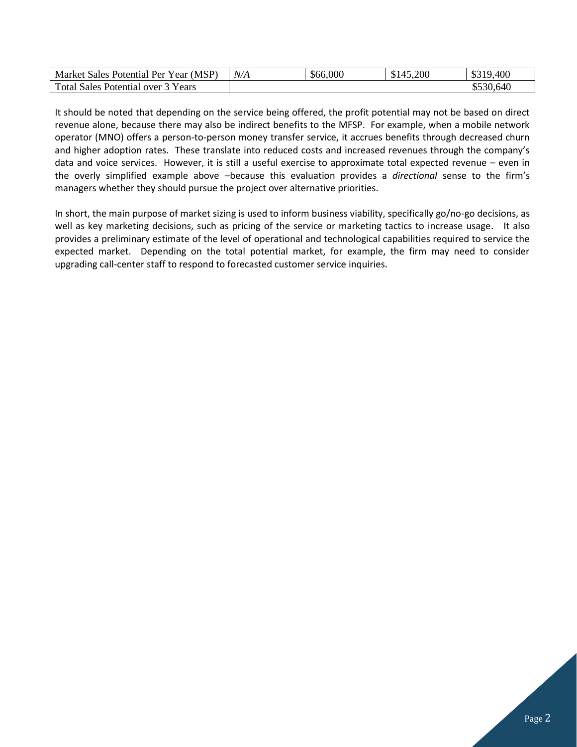| Market Sales Potential Per Year (MSP) | N/A | \$66,000 | 45,200<br>145 | \$319,400 |
|---------------------------------------|-----|----------|---------------|-----------|
| Total Sales Potential over 3 Years    |     |          |               | \$530,640 |

It should be noted that depending on the service being offered, the profit potential may not be based on direct revenue alone, because there may also be indirect benefits to the MFSP. For example, when a mobile network operator (MNO) offers a person-to-person money transfer service, it accrues benefits through decreased churn and higher adoption rates. These translate into reduced costs and increased revenues through the company's data and voice services. However, it is still a useful exercise to approximate total expected revenue – even in the overly simplified example above –because this evaluation provides a *directional* sense to the firm's managers whether they should pursue the project over alternative priorities.

In short, the main purpose of market sizing is used to inform business viability, specifically go/no-go decisions, as well as key marketing decisions, such as pricing of the service or marketing tactics to increase usage. It also provides a preliminary estimate of the level of operational and technological capabilities required to service the expected market. Depending on the total potential market, for example, the firm may need to consider upgrading call-center staff to respond to forecasted customer service inquiries.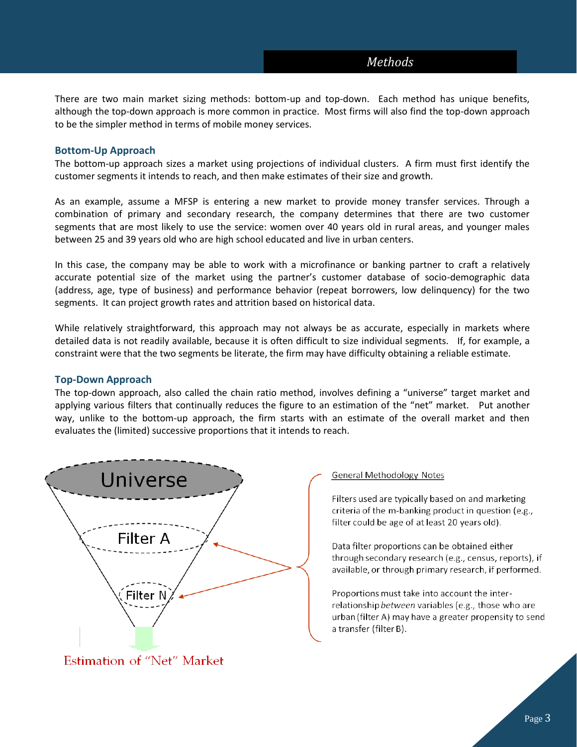# *Methods*

There are two main market sizing methods: bottom-up and top-down. Each method has unique benefits, although the top-down approach is more common in practice. Most firms will also find the top-down approach to be the simpler method in terms of mobile money services.

### **Bottom-Up Approach**

The bottom-up approach sizes a market using projections of individual clusters. A firm must first identify the customer segments it intends to reach, and then make estimates of their size and growth.

As an example, assume a MFSP is entering a new market to provide money transfer services. Through a combination of primary and secondary research, the company determines that there are two customer segments that are most likely to use the service: women over 40 years old in rural areas, and younger males between 25 and 39 years old who are high school educated and live in urban centers.

In this case, the company may be able to work with a microfinance or banking partner to craft a relatively accurate potential size of the market using the partner's customer database of socio-demographic data (address, age, type of business) and performance behavior (repeat borrowers, low delinquency) for the two segments. It can project growth rates and attrition based on historical data.

While relatively straightforward, this approach may not always be as accurate, especially in markets where detailed data is not readily available, because it is often difficult to size individual segments. If, for example, a constraint were that the two segments be literate, the firm may have difficulty obtaining a reliable estimate.

### **Top-Down Approach**

The top-down approach, also called the chain ratio method, involves defining a "universe" target market and applying various filters that continually reduces the figure to an estimation of the "net" market. Put another way, unlike to the bottom-up approach, the firm starts with an estimate of the overall market and then evaluates the (limited) successive proportions that it intends to reach.



Estimation of "Net" Market

#### **General Methodology Notes**

Filters used are typically based on and marketing criteria of the m-banking product in question (e.g., filter could be age of at least 20 years old).

Data filter proportions can be obtained either through secondary research (e.g., census, reports), if available, or through primary research, if performed.

Proportions must take into account the interrelationship between variables (e.g., those who are urban (filter A) may have a greater propensity to send a transfer (filter B).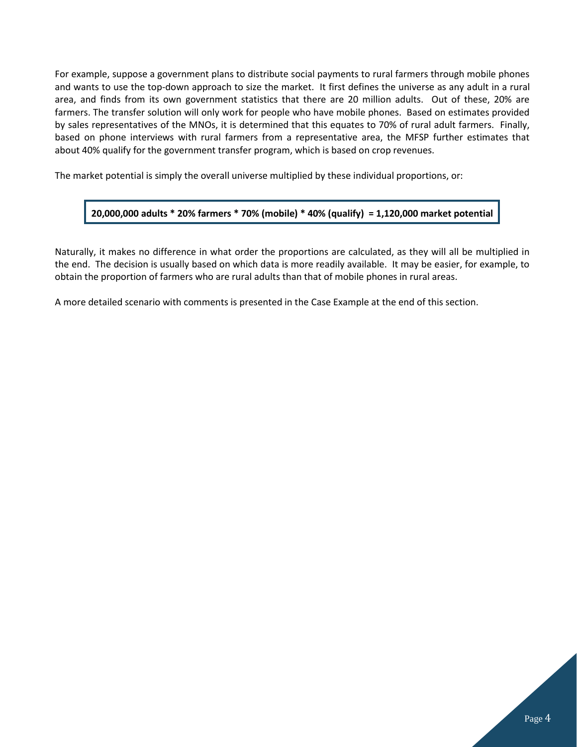For example, suppose a government plans to distribute social payments to rural farmers through mobile phones and wants to use the top-down approach to size the market. It first defines the universe as any adult in a rural area, and finds from its own government statistics that there are 20 million adults. Out of these, 20% are farmers. The transfer solution will only work for people who have mobile phones. Based on estimates provided by sales representatives of the MNOs, it is determined that this equates to 70% of rural adult farmers. Finally, based on phone interviews with rural farmers from a representative area, the MFSP further estimates that about 40% qualify for the government transfer program, which is based on crop revenues.

The market potential is simply the overall universe multiplied by these individual proportions, or:

## **20,000,000 adults \* 20% farmers \* 70% (mobile) \* 40% (qualify) = 1,120,000 market potential**

Naturally, it makes no difference in what order the proportions are calculated, as they will all be multiplied in the end. The decision is usually based on which data is more readily available. It may be easier, for example, to obtain the proportion of farmers who are rural adults than that of mobile phones in rural areas.

A more detailed scenario with comments is presented in the Case Example at the end of this section.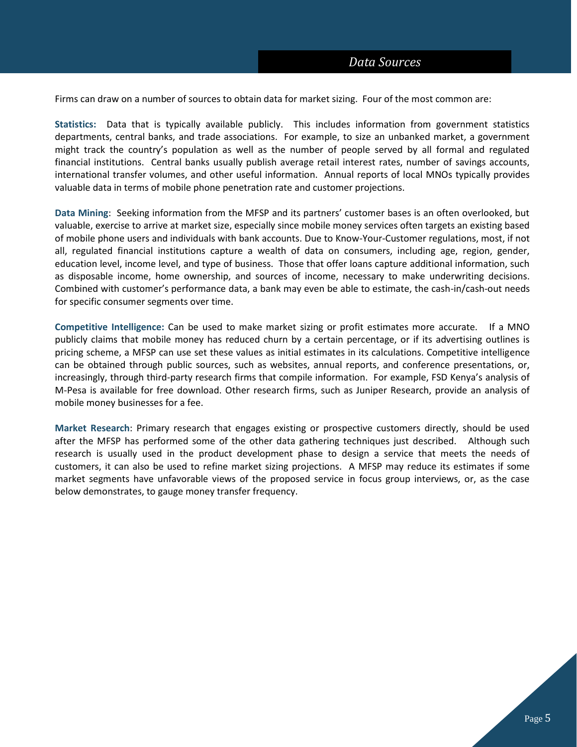Firms can draw on a number of sources to obtain data for market sizing. Four of the most common are:

**Statistics:** Data that is typically available publicly. This includes information from government statistics departments, central banks, and trade associations. For example, to size an unbanked market, a government might track the country's population as well as the number of people served by all formal and regulated financial institutions. Central banks usually publish average retail interest rates, number of savings accounts, international transfer volumes, and other useful information. Annual reports of local MNOs typically provides valuable data in terms of mobile phone penetration rate and customer projections.

**Data Mining**: Seeking information from the MFSP and its partners' customer bases is an often overlooked, but valuable, exercise to arrive at market size, especially since mobile money services often targets an existing based of mobile phone users and individuals with bank accounts. Due to Know-Your-Customer regulations, most, if not all, regulated financial institutions capture a wealth of data on consumers, including age, region, gender, education level, income level, and type of business. Those that offer loans capture additional information, such as disposable income, home ownership, and sources of income, necessary to make underwriting decisions. Combined with customer's performance data, a bank may even be able to estimate, the cash-in/cash-out needs for specific consumer segments over time.

**Competitive Intelligence:** Can be used to make market sizing or profit estimates more accurate. If a MNO publicly claims that mobile money has reduced churn by a certain percentage, or if its advertising outlines is pricing scheme, a MFSP can use set these values as initial estimates in its calculations. Competitive intelligence can be obtained through public sources, such as websites, annual reports, and conference presentations, or, increasingly, through third-party research firms that compile information. For example, FSD Kenya's analysis of M-Pesa is available for free download. Other research firms, such as Juniper Research, provide an analysis of mobile money businesses for a fee.

**Market Research**: Primary research that engages existing or prospective customers directly, should be used after the MFSP has performed some of the other data gathering techniques just described. Although such research is usually used in the product development phase to design a service that meets the needs of customers, it can also be used to refine market sizing projections. A MFSP may reduce its estimates if some market segments have unfavorable views of the proposed service in focus group interviews, or, as the case below demonstrates, to gauge money transfer frequency.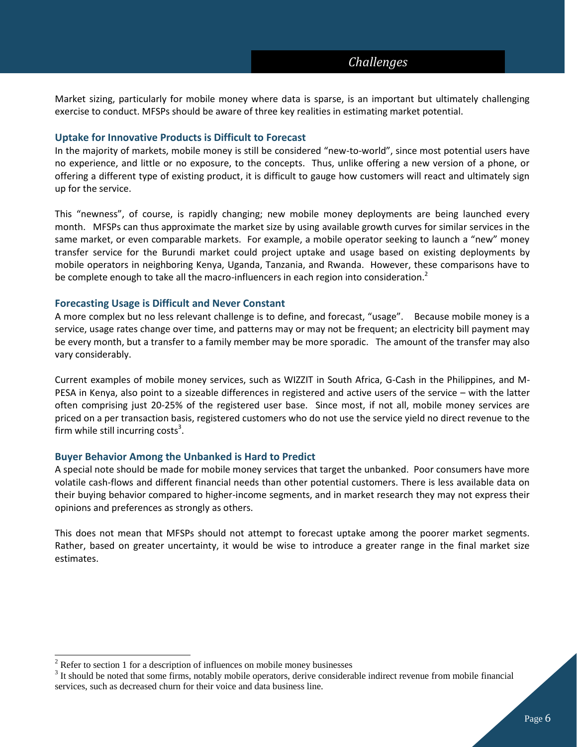Market sizing, particularly for mobile money where data is sparse, is an important but ultimately challenging exercise to conduct. MFSPs should be aware of three key realities in estimating market potential.

## **Uptake for Innovative Products is Difficult to Forecast**

In the majority of markets, mobile money is still be considered "new-to-world", since most potential users have no experience, and little or no exposure, to the concepts. Thus, unlike offering a new version of a phone, or offering a different type of existing product, it is difficult to gauge how customers will react and ultimately sign up for the service.

This "newness", of course, is rapidly changing; new mobile money deployments are being launched every month. MFSPs can thus approximate the market size by using available growth curves for similar services in the same market, or even comparable markets. For example, a mobile operator seeking to launch a "new" money transfer service for the Burundi market could project uptake and usage based on existing deployments by mobile operators in neighboring Kenya, Uganda, Tanzania, and Rwanda. However, these comparisons have to be complete enough to take all the macro-influencers in each region into consideration.<sup>2</sup>

### **Forecasting Usage is Difficult and Never Constant**

A more complex but no less relevant challenge is to define, and forecast, "usage". Because mobile money is a service, usage rates change over time, and patterns may or may not be frequent; an electricity bill payment may be every month, but a transfer to a family member may be more sporadic. The amount of the transfer may also vary considerably.

Current examples of mobile money services, such as WIZZIT in South Africa, G-Cash in the Philippines, and M-PESA in Kenya, also point to a sizeable differences in registered and active users of the service – with the latter often comprising just 20-25% of the registered user base. Since most, if not all, mobile money services are priced on a per transaction basis, registered customers who do not use the service yield no direct revenue to the firm while still incurring costs<sup>3</sup>.

### **Buyer Behavior Among the Unbanked is Hard to Predict**

A special note should be made for mobile money services that target the unbanked. Poor consumers have more volatile cash-flows and different financial needs than other potential customers. There is less available data on their buying behavior compared to higher-income segments, and in market research they may not express their opinions and preferences as strongly as others.

This does not mean that MFSPs should not attempt to forecast uptake among the poorer market segments. Rather, based on greater uncertainty, it would be wise to introduce a greater range in the final market size estimates.

l

 $2$  Refer to section 1 for a description of influences on mobile money businesses

 $3$  It should be noted that some firms, notably mobile operators, derive considerable indirect revenue from mobile financial services, such as decreased churn for their voice and data business line.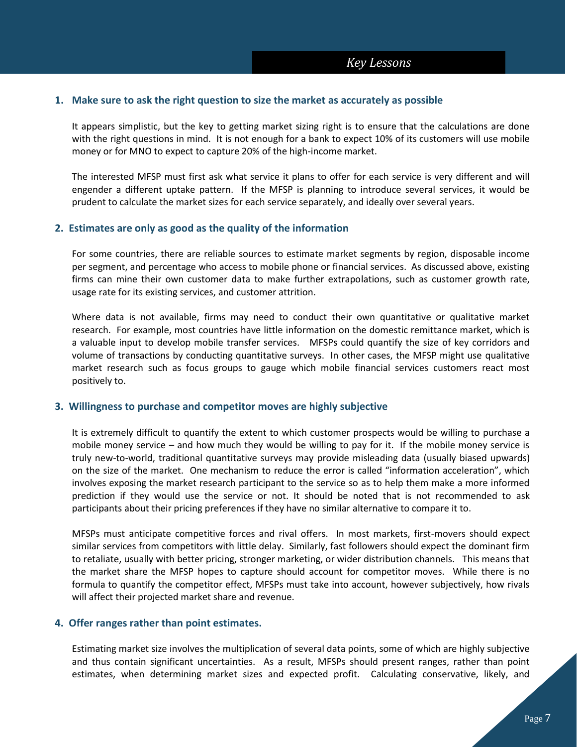### **1. Make sure to ask the right question to size the market as accurately as possible**

It appears simplistic, but the key to getting market sizing right is to ensure that the calculations are done with the right questions in mind. It is not enough for a bank to expect 10% of its customers will use mobile money or for MNO to expect to capture 20% of the high-income market.

The interested MFSP must first ask what service it plans to offer for each service is very different and will engender a different uptake pattern. If the MFSP is planning to introduce several services, it would be prudent to calculate the market sizes for each service separately, and ideally over several years.

### **2. Estimates are only as good as the quality of the information**

For some countries, there are reliable sources to estimate market segments by region, disposable income per segment, and percentage who access to mobile phone or financial services. As discussed above, existing firms can mine their own customer data to make further extrapolations, such as customer growth rate, usage rate for its existing services, and customer attrition.

Where data is not available, firms may need to conduct their own quantitative or qualitative market research. For example, most countries have little information on the domestic remittance market, which is a valuable input to develop mobile transfer services. MFSPs could quantify the size of key corridors and volume of transactions by conducting quantitative surveys. In other cases, the MFSP might use qualitative market research such as focus groups to gauge which mobile financial services customers react most positively to.

### **3. Willingness to purchase and competitor moves are highly subjective**

It is extremely difficult to quantify the extent to which customer prospects would be willing to purchase a mobile money service – and how much they would be willing to pay for it. If the mobile money service is truly new-to-world, traditional quantitative surveys may provide misleading data (usually biased upwards) on the size of the market. One mechanism to reduce the error is called "information acceleration", which involves exposing the market research participant to the service so as to help them make a more informed prediction if they would use the service or not. It should be noted that is not recommended to ask participants about their pricing preferences if they have no similar alternative to compare it to.

MFSPs must anticipate competitive forces and rival offers. In most markets, first-movers should expect similar services from competitors with little delay. Similarly, fast followers should expect the dominant firm to retaliate, usually with better pricing, stronger marketing, or wider distribution channels. This means that the market share the MFSP hopes to capture should account for competitor moves. While there is no formula to quantify the competitor effect, MFSPs must take into account, however subjectively, how rivals will affect their projected market share and revenue.

### **4. Offer ranges rather than point estimates.**

Estimating market size involves the multiplication of several data points, some of which are highly subjective and thus contain significant uncertainties. As a result, MFSPs should present ranges, rather than point estimates, when determining market sizes and expected profit. Calculating conservative, likely, and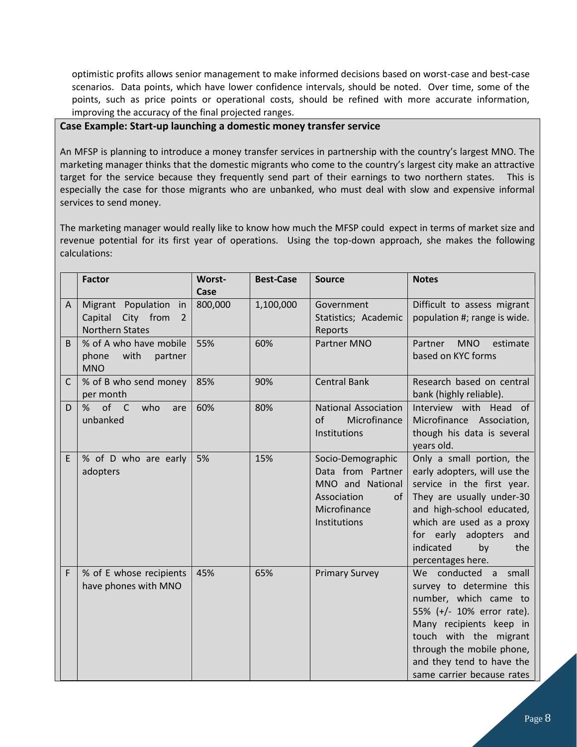optimistic profits allows senior management to make informed decisions based on worst-case and best-case scenarios. Data points, which have lower confidence intervals, should be noted. Over time, some of the points, such as price points or operational costs, should be refined with more accurate information, improving the accuracy of the final projected ranges.

# **Case Example: Start-up launching a domestic money transfer service**

An MFSP is planning to introduce a money transfer services in partnership with the country's largest MNO. The marketing manager thinks that the domestic migrants who come to the country's largest city make an attractive target for the service because they frequently send part of their earnings to two northern states. This is especially the case for those migrants who are unbanked, who must deal with slow and expensive informal services to send money.

The marketing manager would really like to know how much the MFSP could expect in terms of market size and revenue potential for its first year of operations. Using the top-down approach, she makes the following calculations:

| <b>Factor</b>                                                                              | <b>Worst-</b><br>Case | <b>Best-Case</b> | <b>Source</b>                                                                                                   | <b>Notes</b>                                                                                                                                                                                                                                                  |
|--------------------------------------------------------------------------------------------|-----------------------|------------------|-----------------------------------------------------------------------------------------------------------------|---------------------------------------------------------------------------------------------------------------------------------------------------------------------------------------------------------------------------------------------------------------|
| Migrant Population<br>in<br>A<br>Capital<br>City from<br>$\overline{2}$<br>Northern States | 800,000               | 1,100,000        | Government<br>Statistics; Academic<br>Reports                                                                   | Difficult to assess migrant<br>population #; range is wide.                                                                                                                                                                                                   |
| % of A who have mobile<br>B.<br>with<br>phone<br>partner<br><b>MNO</b>                     | 55%                   | 60%              | Partner MNO                                                                                                     | <b>MNO</b><br>estimate<br>Partner<br>based on KYC forms                                                                                                                                                                                                       |
| % of B who send money<br>C<br>per month                                                    | 85%                   | 90%              | <b>Central Bank</b>                                                                                             | Research based on central<br>bank (highly reliable).                                                                                                                                                                                                          |
| of C<br>%<br>who<br>D<br>are<br>unbanked                                                   | 60%                   | 80%              | <b>National Association</b><br>of<br>Microfinance<br>Institutions                                               | Interview with Head of<br>Microfinance Association,<br>though his data is several<br>years old.                                                                                                                                                               |
| E<br>% of D who are early<br>adopters                                                      | 5%                    | 15%              | Socio-Demographic<br>Data from Partner<br>MNO and National<br>Association<br>of<br>Microfinance<br>Institutions | Only a small portion, the<br>early adopters, will use the<br>service in the first year.<br>They are usually under-30<br>and high-school educated,<br>which are used as a proxy<br>for early<br>adopters<br>and<br>indicated<br>by<br>the<br>percentages here. |
| F<br>% of E whose recipients<br>have phones with MNO                                       | 45%                   | 65%              | <b>Primary Survey</b>                                                                                           | We conducted a<br>small<br>survey to determine this<br>number, which came to<br>55% (+/- 10% error rate).<br>Many recipients keep in<br>touch with the migrant<br>through the mobile phone,<br>and they tend to have the<br>same carrier because rates        |